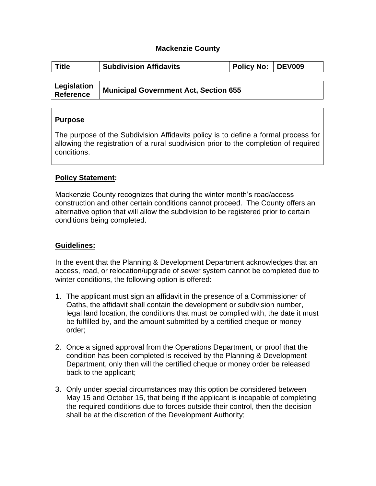## **Mackenzie County**

| <b>Title</b>                    | <b>Subdivision Affidavits</b>                | Policy No: DEV009 |  |
|---------------------------------|----------------------------------------------|-------------------|--|
|                                 |                                              |                   |  |
| Legislation<br><b>Reference</b> | <b>Municipal Government Act, Section 655</b> |                   |  |

## **Purpose**

The purpose of the Subdivision Affidavits policy is to define a formal process for allowing the registration of a rural subdivision prior to the completion of required conditions.

## **Policy Statement:**

Mackenzie County recognizes that during the winter month's road/access construction and other certain conditions cannot proceed. The County offers an alternative option that will allow the subdivision to be registered prior to certain conditions being completed.

## **Guidelines:**

In the event that the Planning & Development Department acknowledges that an access, road, or relocation/upgrade of sewer system cannot be completed due to winter conditions, the following option is offered:

- 1. The applicant must sign an affidavit in the presence of a Commissioner of Oaths, the affidavit shall contain the development or subdivision number, legal land location, the conditions that must be complied with, the date it must be fulfilled by, and the amount submitted by a certified cheque or money order;
- 2. Once a signed approval from the Operations Department, or proof that the condition has been completed is received by the Planning & Development Department, only then will the certified cheque or money order be released back to the applicant;
- 3. Only under special circumstances may this option be considered between May 15 and October 15, that being if the applicant is incapable of completing the required conditions due to forces outside their control, then the decision shall be at the discretion of the Development Authority;